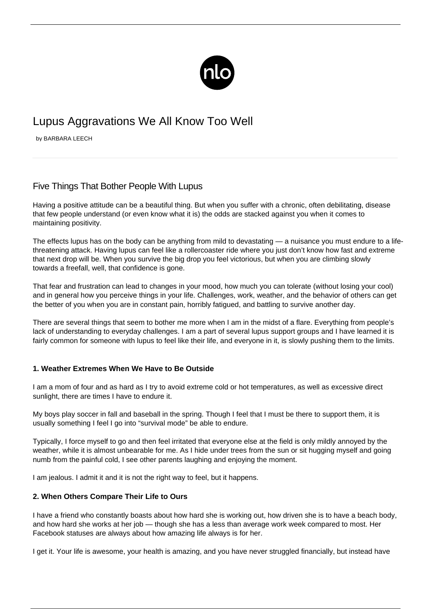

# Lupus Aggravations We All Know Too Well

by BARBARA LEECH

# Five Things That Bother People With Lupus

Having a positive attitude can be a beautiful thing. But when you suffer with a chronic, often debilitating, disease that [few people understand](/avoiding-societal-stigma/) (or even know what it is) the odds are stacked against you when it comes to maintaining positivity.

The effects lupus has on the body can be anything from mild to devastating — a nuisance you must endure to a lifethreatening attack. Having lupus can feel like a rollercoaster ride where you just don't know how fast and extreme that next drop will be. When you survive the big drop you feel victorious, but when you are climbing slowly towards a freefall, well, that confidence is gone.

That fear and frustration can lead to changes in your mood, how much you can tolerate (without losing your cool) and in general how you perceive things in your life. Challenges, work, weather, and the behavior of others can get the better of you when you are in constant pain, horribly fatigued, and battling to survive another day.

There are several things that seem to bother me more when I am in the midst of a flare. Everything from people's lack of understanding to everyday challenges. I am a part of several lupus support groups and I have learned it is fairly common for someone with lupus to feel like their life, and everyone in it, is slowly pushing them to the limits.

## **1. Weather Extremes When We Have to Be Outside**

I am a mom of four and as hard as I try to avoid extreme cold or hot temperatures, as well as excessive direct sunlight, there are times I have to endure it.

My boys play soccer in fall and baseball in the spring. Though I feel that I must be there to support them, it is usually something I feel I go into "survival mode" be able to endure.

Typically, I force myself to go and then feel irritated that everyone else at the field is only mildly annoyed by the weather, while it is almost unbearable for me. As I hide under trees from the sun or sit hugging myself and going numb from the painful cold, I see other parents laughing and enjoying the moment.

I am jealous. I admit it and it is not the right way to feel, but it happens.

#### **2. When Others Compare Their Life to Ours**

I have a friend who constantly boasts about how hard she is working out, how driven she is to have a beach body, and how hard she works at her job — though she has a less than average work week compared to most. Her Facebook statuses are always about how amazing life always is for her.

I get it. Your life is awesome, your health is amazing, and you have never struggled financially, but instead have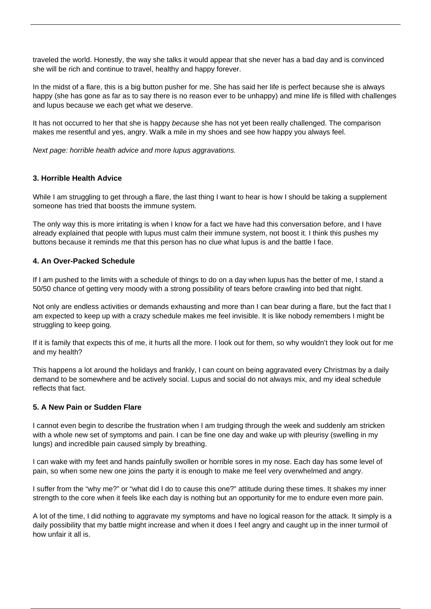traveled the world. Honestly, the way she talks it would appear that she never has a bad day and is convinced she will be rich and continue to travel, healthy and happy forever.

In the midst of a flare, this is a big button pusher for me. She has said her life is perfect because she is always happy (she has gone as far as to say there is no reason ever to be unhappy) and mine life is filled with challenges and lupus because we each get what we deserve.

It has not occurred to her that she is happy because she has not yet been really challenged. The comparison makes me resentful and yes, angry. Walk a mile in my shoes and see how happy you always feel.

Next page: horrible health advice and more lupus aggravations.

#### **3. Horrible Health Advice**

While I am struggling to get through a flare, the last thing I want to hear is how I should be taking a supplement someone has tried that boosts the immune system.

The only way this is more irritating is when I know for a fact we have had this conversation before, and I have already explained that people with lupus must [calm their immune system,](/lupus-immune-system/) not boost it. I think this pushes my buttons because it reminds me that this person has no clue what lupus is and the battle I face.

#### **4. An Over-Packed Schedule**

If I am pushed to the limits with a schedule of things to do on a day when lupus has the better of me, I stand a 50/50 chance of getting very moody with a strong possibility of tears before crawling into bed that night.

Not only are endless activities or demands exhausting and more than I can bear during a flare, but the fact that I am expected to keep up with a crazy schedule makes me feel invisible. It is like nobody remembers I might be struggling to keep going.

If it is family that expects this of me, it hurts all the more. I look out for them, so why wouldn't they look out for me and my health?

This happens a lot around the holidays and frankly, I can count on being aggravated every Christmas by a daily demand to be somewhere and be actively social. Lupus and social do not always mix, and my ideal schedule reflects that fact.

#### **5. A New Pain or Sudden Flare**

I cannot even begin to describe the frustration when I am trudging through the week and suddenly am stricken with a whole new set of symptoms and pain. I can be fine one day and wake up with pleurisy (swelling in my lungs) and incredible pain caused simply by breathing.

I can wake with my feet and hands painfully swollen or horrible sores in my nose. Each day has some level of pain, so when some new one joins the party it is enough to make me feel very overwhelmed and angry.

I suffer from the "why me?" or "what did I do to cause this one?" attitude during these times. It shakes my inner strength to the core when it feels like each day is nothing but an opportunity for me to endure even more pain.

A lot of the time, I did nothing to aggravate my symptoms and have no logical reason for the attack. It simply is a daily possibility that my battle might increase and when it does I feel angry and caught up in the inner turmoil of how unfair it all is.